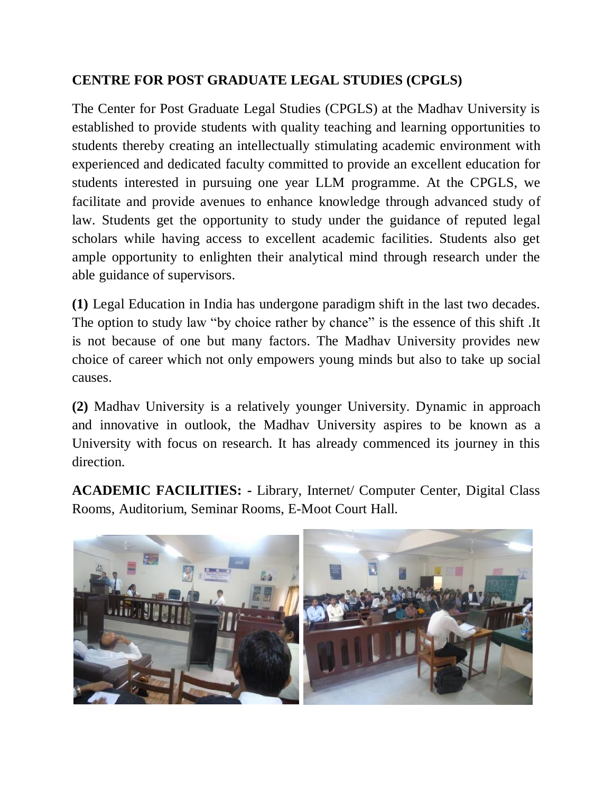# **CENTRE FOR POST GRADUATE LEGAL STUDIES (CPGLS)**

The Center for Post Graduate Legal Studies (CPGLS) at the Madhav University is established to provide students with quality teaching and learning opportunities to students thereby creating an intellectually stimulating academic environment with experienced and dedicated faculty committed to provide an excellent education for students interested in pursuing one year LLM programme. At the CPGLS, we facilitate and provide avenues to enhance knowledge through advanced study of law. Students get the opportunity to study under the guidance of reputed legal scholars while having access to excellent academic facilities. Students also get ample opportunity to enlighten their analytical mind through research under the able guidance of supervisors.

**(1)** Legal Education in India has undergone paradigm shift in the last two decades. The option to study law "by choice rather by chance" is the essence of this shift. It is not because of one but many factors. The Madhav University provides new choice of career which not only empowers young minds but also to take up social causes.

**(2)** Madhav University is a relatively younger University. Dynamic in approach and innovative in outlook, the Madhav University aspires to be known as a University with focus on research. It has already commenced its journey in this direction.

**ACADEMIC FACILITIES: -** Library, Internet/ Computer Center, Digital Class Rooms, Auditorium, Seminar Rooms, E-Moot Court Hall.

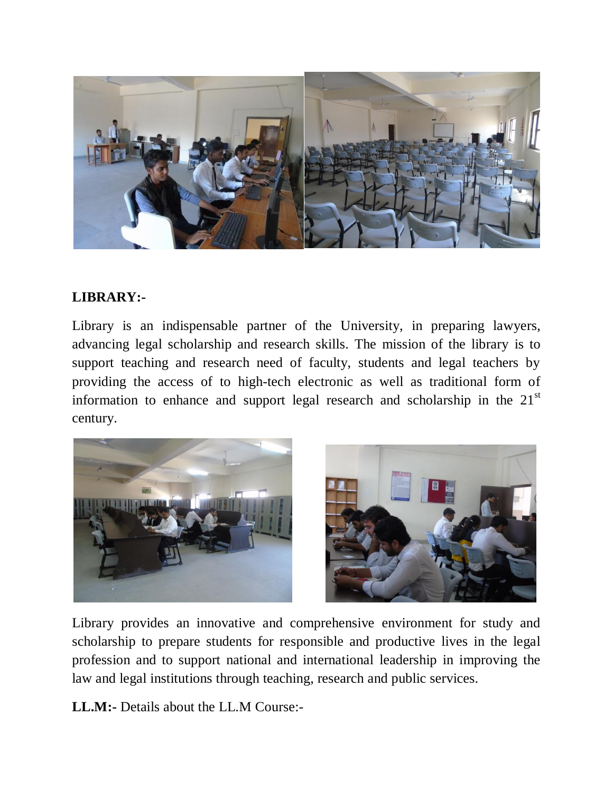

## **LIBRARY:-**

Library is an indispensable partner of the University, in preparing lawyers, advancing legal scholarship and research skills. The mission of the library is to support teaching and research need of faculty, students and legal teachers by providing the access of to high-tech electronic as well as traditional form of information to enhance and support legal research and scholarship in the  $21<sup>st</sup>$ century.



Library provides an innovative and comprehensive environment for study and scholarship to prepare students for responsible and productive lives in the legal profession and to support national and international leadership in improving the law and legal institutions through teaching, research and public services.

**LL.M:-** Details about the LL.M Course:-